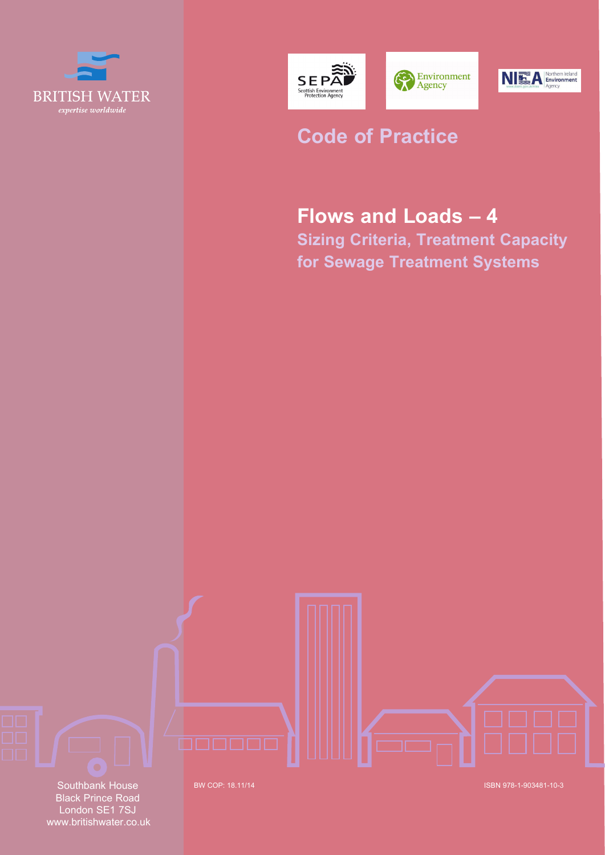





# **Code of Practice**

# **Flows and Loads – 4**

**Sizing Criteria, Treatment Capacity for Sewage Treatment Systems**

Southbank House Black Prince Road London SE1 7SJ www.britishwater.co.uk

BW COP: ISBN 978-1-903481-10-3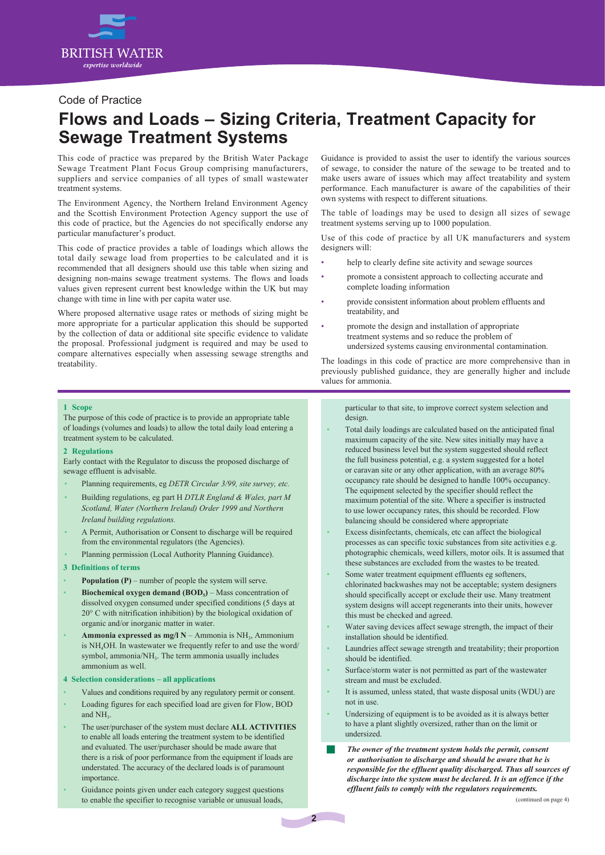

### Code of Practice

## **Flows and Loads – Sizing Criteria, Treatment Capacity for Sewage Treatment Systems**

This code of practice was prepared by the British Water Package Sewage Treatment Plant Focus Group comprising manufacturers, suppliers and service companies of all types of small wastewater treatment systems.

The Environment Agency, the Northern Ireland Environment Agency and the Scottish Environment Protection Agency support the use of this code of practice, but the Agencies do not specifically endorse any particular manufacturer's product.

This code of practice provides a table of loadings which allows the total daily sewage load from properties to be calculated and it is recommended that all designers should use this table when sizing and designing non-mains sewage treatment systems. The flows and loads values given represent current best knowledge within the UK but may change with time in line with per capita water use.

Where proposed alternative usage rates or methods of sizing might be more appropriate for a particular application this should be supported by the collection of data or additional site specific evidence to validate the proposal. Professional judgment is required and may be used to compare alternatives especially when assessing sewage strengths and treatability.

Guidance is provided to assist the user to identify the various sources of sewage, to consider the nature of the sewage to be treated and to make users aware of issues which may affect treatability and system performance. Each manufacturer is aware of the capabilities of their own systems with respect to different situations.

The table of loadings may be used to design all sizes of sewage treatment systems serving up to 1000 population.

Use of this code of practice by all UK manufacturers and system designers will:

- help to clearly define site activity and sewage sources
- promote a consistent approach to collecting accurate and complete loading information
- provide consistent information about problem effluents and treatability, and
- promote the design and installation of appropriate treatment systems and so reduce the problem of undersized systems causing environmental contamination.

The loadings in this code of practice are more comprehensive than in previously published guidance, they are generally higher and include values for ammonia.

#### **1 Scope**

The purpose of this code of practice is to provide an appropriate table of loadings (volumes and loads) to allow the total daily load entering a treatment system to be calculated.

#### **2 Regulations**

Early contact with the Regulator to discuss the proposed discharge of sewage effluent is advisable.

- Planning requirements, eg *DETR Circular 3/99, site survey, etc.*
- Building regulations, eg part H *DTLR England & Wales, part M Scotland, Water (Northern Ireland) Order 1999 and Northern Ireland building regulations.*
- A Permit, Authorisation or Consent to discharge will be required from the environmental regulators (the Agencies).
- Planning permission (Local Authority Planning Guidance).

#### **3 Definitions of terms**

- **Population (P)** number of people the system will serve.
- **Biochemical oxygen demand (BOD<sub>5</sub>)** Mass concentration of dissolved oxygen consumed under specified conditions (5 days at 20° C with nitrification inhibition) by the biological oxidation of organic and/or inorganic matter in water.
- **Ammonia expressed as mg/l N** Ammonia is NH3, Ammonium is NH4OH. In wastewater we frequently refer to and use the word/ symbol, ammonia/NH<sub>3</sub>. The term ammonia usually includes ammonium as well.

#### **4 Selection considerations – all applications**

- Values and conditions required by any regulatory permit or consent.
- Loading figures for each specified load are given for Flow, BOD
- and NH<sub>3</sub> • The user/purchaser of the system must declare **ALL ACTIVITIES**
- to enable all loads entering the treatment system to be identified and evaluated. The user/purchaser should be made aware that there is a risk of poor performance from the equipment if loads are understated. The accuracy of the declared loads is of paramount importance.
- Guidance points given under each category suggest questions to enable the specifier to recognise variable or unusual loads,

particular to that site, to improve correct system selection and design.

- Total daily loadings are calculated based on the anticipated final maximum capacity of the site. New sites initially may have a reduced business level but the system suggested should reflect the full business potential, e.g. a system suggested for a hotel or caravan site or any other application, with an average 80% occupancy rate should be designed to handle 100% occupancy. The equipment selected by the specifier should reflect the maximum potential of the site. Where a specifier is instructed to use lower occupancy rates, this should be recorded. Flow balancing should be considered where appropriate
- Excess disinfectants, chemicals, etc can affect the biological processes as can specific toxic substances from site activities e.g. photographic chemicals, weed killers, motor oils. It is assumed that these substances are excluded from the wastes to be treated.
- Some water treatment equipment effluents eg softeners, chlorinated backwashes may not be acceptable; system designers should specifically accept or exclude their use. Many treatment system designs will accept regenerants into their units, however this must be checked and agreed.
- Water saving devices affect sewage strength, the impact of their installation should be identified.
- Laundries affect sewage strength and treatability; their proportion should be identified.
- Surface/storm water is not permitted as part of the wastewater stream and must be excluded.
- It is assumed, unless stated, that waste disposal units (WDU) are not in use.
- Undersizing of equipment is to be avoided as it is always better to have a plant slightly oversized, rather than on the limit or undersized.
- The owner of the treatment system holds the permit, consent *or authorisation to discharge and should be aware that he is responsible for the effluent quality discharged. Thus all sources of discharge into the system must be declared. It is an offence if the effluent fails to comply with the regulators requirements.*

b.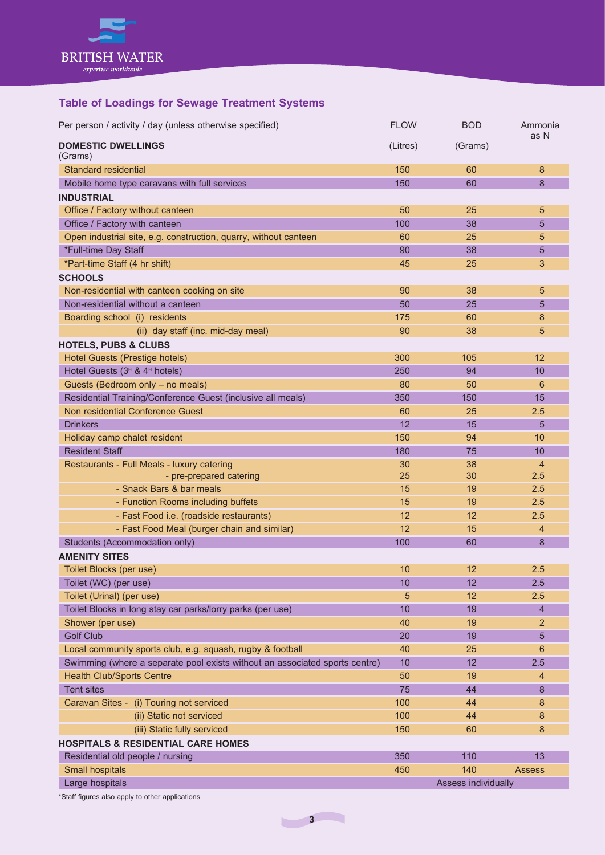

## **Table of Loadings for Sewage Treatment Systems**

| Per person / activity / day (unless otherwise specified)                    | <b>FLOW</b> | <b>BOD</b>          | Ammonia<br>as N |
|-----------------------------------------------------------------------------|-------------|---------------------|-----------------|
| <b>DOMESTIC DWELLINGS</b><br>(Grams)                                        | (Litres)    | (Grams)             |                 |
| Standard residential                                                        | 150         | 60                  | 8               |
| Mobile home type caravans with full services                                | 150         | 60                  | 8               |
| <b>INDUSTRIAL</b>                                                           |             |                     |                 |
| Office / Factory without canteen                                            | 50          | 25                  | 5               |
| Office / Factory with canteen                                               | 100         | 38                  | 5               |
| Open industrial site, e.g. construction, quarry, without canteen            | 60          | 25                  | 5               |
| *Full-time Day Staff                                                        | 90          | 38                  | 5               |
| *Part-time Staff (4 hr shift)                                               | 45          | 25                  | 3               |
| <b>SCHOOLS</b>                                                              |             |                     |                 |
| Non-residential with canteen cooking on site                                | 90          | 38                  | 5               |
| Non-residential without a canteen                                           | 50          | 25                  | 5               |
| Boarding school (i) residents                                               | 175         | 60                  | 8               |
| (ii) day staff (inc. mid-day meal)                                          | 90          | 38                  | 5               |
| <b>HOTELS, PUBS &amp; CLUBS</b>                                             |             |                     |                 |
| Hotel Guests (Prestige hotels)                                              | 300         | 105                 | 12              |
| Hotel Guests (3 <sup>H</sup> & 4 <sup>H</sup> hotels)                       | 250         | 94                  | 10              |
| Guests (Bedroom only - no meals)                                            | 80          | 50                  | 6               |
| Residential Training/Conference Guest (inclusive all meals)                 | 350         | 150                 | 15              |
| Non residential Conference Guest                                            | 60          | 25                  | 2.5             |
| <b>Drinkers</b>                                                             | 12          | 15                  | 5               |
| Holiday camp chalet resident                                                | 150         | 94                  | 10              |
| <b>Resident Staff</b>                                                       | 180         | 75                  | 10              |
| Restaurants - Full Meals - luxury catering                                  | 30          | 38                  | $\overline{4}$  |
| - pre-prepared catering                                                     | 25          | 30                  | 2.5             |
| - Snack Bars & bar meals                                                    | 15          | 19                  | 2.5             |
| - Function Rooms including buffets                                          | 15          | 19                  | 2.5             |
| - Fast Food i.e. (roadside restaurants)                                     | 12          | 12                  | 2.5             |
| - Fast Food Meal (burger chain and similar)                                 | 12          | 15                  | 4               |
| Students (Accommodation only)                                               | 100         | 60                  | 8               |
| <b>AMENITY SITES</b>                                                        |             |                     |                 |
| Toilet Blocks (per use)                                                     | 10          | 12                  | 2.5             |
| Toilet (WC) (per use)                                                       | 10          | 12                  | 2.5             |
| Toilet (Urinal) (per use)                                                   | 5           | 12                  | 2.5             |
| Toilet Blocks in long stay car parks/lorry parks (per use)                  | 10          | 19                  | $\overline{4}$  |
| Shower (per use)                                                            | 40          | 19                  | 2               |
| <b>Golf Club</b>                                                            | 20          | 19                  | 5               |
| Local community sports club, e.g. squash, rugby & football                  | 40          | 25                  | 6               |
| Swimming (where a separate pool exists without an associated sports centre) | 10          | 12                  | 2.5             |
| <b>Health Club/Sports Centre</b>                                            | 50          | 19                  | $\overline{4}$  |
| <b>Tent sites</b>                                                           | 75          | 44                  | 8               |
| Caravan Sites - (i) Touring not serviced                                    | 100         | 44                  | 8               |
| (ii) Static not serviced                                                    | 100         | 44                  | 8               |
| (iii) Static fully serviced                                                 | 150         | 60                  | 8               |
| <b>HOSPITALS &amp; RESIDENTIAL CARE HOMES</b>                               |             |                     |                 |
| Residential old people / nursing                                            | 350         | 110                 | 13              |
| Small hospitals                                                             | 450         | 140                 | <b>Assess</b>   |
| Large hospitals                                                             |             | Assess individually |                 |
|                                                                             |             |                     |                 |

\*Staff figures also apply to other applications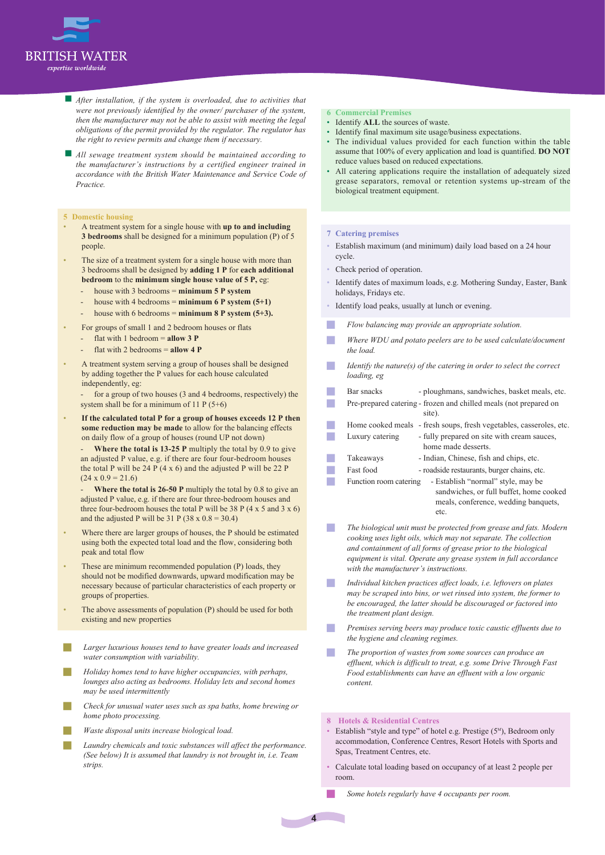

- **A** *After installation, if the system is overloaded, due to activities that were not previously identified by the owner/ purchaser of the system, then the manufacturer may not be able to assist with meeting the legal obligations of the permit provided by the regulator. The regulator has the right to review permits and change them if necessary.*
- g *All sewage treatment system should be maintained according to the manufacturer's instructions by a certified engineer trained in accordance with the British Water Maintenance and Service Code of Practice.*

#### **5 Domestic housing**

- A treatment system for a single house with **up to and including 3 bedrooms** shall be designed for a minimum population (P) of 5 people.
- The size of a treatment system for a single house with more than 3 bedrooms shall be designed by **adding 1 P** for **each additional bedroom** to the **minimum single house value of 5 P,** eg:
	- house with 3 bedrooms = **minimum 5 P system**
	- house with 4 bedrooms =  $minimum\ 6\ P$  system  $(5+1)$
	- house with 6 bedrooms = **minimum 8 P system (5+3).**
- For groups of small 1 and 2 bedroom houses or flats
	- flat with 1 bedroom = **allow 3 P**
	- flat with 2 bedrooms = **allow 4 P**
- A treatment system serving a group of houses shall be designed by adding together the P values for each house calculated independently, eg:

for a group of two houses (3 and 4 bedrooms, respectively) the system shall be for a minimum of 11 P (5+6)

• **If the calculated total P for a group of houses exceeds 12 P then some reduction may be made** to allow for the balancing effects on daily flow of a group of houses (round UP not down)

**Where the total is 13-25 P** multiply the total by 0.9 to give an adjusted P value, e.g. if there are four four-bedroom houses the total P will be 24 P (4 x 6) and the adjusted P will be 22 P  $(24 \times 0.9) = 21.6$ 

**Where the total is 26-50 P** multiply the total by 0.8 to give an adjusted P value, e.g. if there are four three-bedroom houses and three four-bedroom houses the total P will be 38 P  $(4 \times 5 \text{ and } 3 \times 6)$ and the adjusted P will be  $31 P (38 \times 0.8 = 30.4)$ 

- Where there are larger groups of houses, the P should be estimated using both the expected total load and the flow, considering both peak and total flow
- These are minimum recommended population (P) loads, they should not be modified downwards, upward modification may be necessary because of particular characteristics of each property or groups of properties.
- The above assessments of population (P) should be used for both existing and new properties
- Larger luxurious houses tend to have greater loads and increased *water consumption with variability.*
- J *Holiday homes tend to have higher occupancies, with perhaps, lounges also acting as bedrooms. Holiday lets and second homes may be used intermittently*
- Check for unusual water uses such as spa baths, home brewing or *home photo processing.*
- *Waste disposal units increase biological load.*
- Laundry chemicals and toxic substances will affect the performance. *(See below) It is assumed that laundry is not brought in, i.e. Team strips.*

#### **6 Commercial Premises**

- Identify **ALL** the sources of waste.
- Identify final maximum site usage/business expectations.
- The individual values provided for each function within the table assume that 100% of every application and load is quantified. **DO NOT** reduce values based on reduced expectations.
- All catering applications require the installation of adequately sized grease separators, removal or retention systems up-stream of the biological treatment equipment.

#### **7 Catering premises**

- Establish maximum (and minimum) daily load based on a 24 hour cycle.
- Check period of operation.
- Identify dates of maximum loads, e.g. Mothering Sunday, Easter, Bank holidays, Fridays etc.
- Identify load peaks, usually at lunch or evening.
- **Flow balancing may provide an appropriate solution.**
- Where WDU and potato peelers are to be used calculate/document *the load.*
- *Identify the nature(s) of the catering in order to select the correct loading, eg*

| Bar snacks             | - ploughmans, sandwiches, basket meals, etc.                        |
|------------------------|---------------------------------------------------------------------|
|                        | Pre-prepared catering - frozen and chilled meals (not prepared on   |
|                        | site).                                                              |
|                        | Home cooked meals - fresh soups, fresh vegetables, casseroles, etc. |
| Luxury catering        | - fully prepared on site with cream sauces.                         |
|                        | home made desserts.                                                 |
| Takeaways              | - Indian, Chinese, fish and chips, etc.                             |
| Fast food              | - roadside restaurants, burger chains, etc.                         |
| Function room catering | - Establish "normal" style, may be                                  |
|                        | sandwiches, or full buffet, home cooked                             |
|                        | meals, conference, wedding banquets,                                |
|                        | etc.                                                                |

- **The biological unit must be protected from grease and fats. Modern** *cooking uses light oils, which may not separate. The collection and containment of all forms of grease prior to the biological equipment is vital. Operate any grease system in full accordance with the manufacturer's instructions.*
- Individual kitchen practices affect loads, i.e. leftovers on plates *may be scraped into bins, or wet rinsed into system, the former to be encouraged, the latter should be discouraged or factored into the treatment plant design.*
- *Premises serving beers may produce toxic caustic effluents due to the hygiene and cleaning regimes.*
- The proportion of wastes from some sources can produce an *effluent, which is difficult to treat, e.g. some Drive Through Fast Food establishments can have an effluent with a low organic content.*

#### **8 Hotels & Residential Centres**

- Establish "style and type" of hotel e.g. Prestige  $(5^M)$ , Bedroom only accommodation, Conference Centres, Resort Hotels with Sports and Spas, Treatment Centres, etc.
- Calculate total loading based on occupancy of at least 2 people per room.
	- Some hotels regularly have 4 occupants per room.

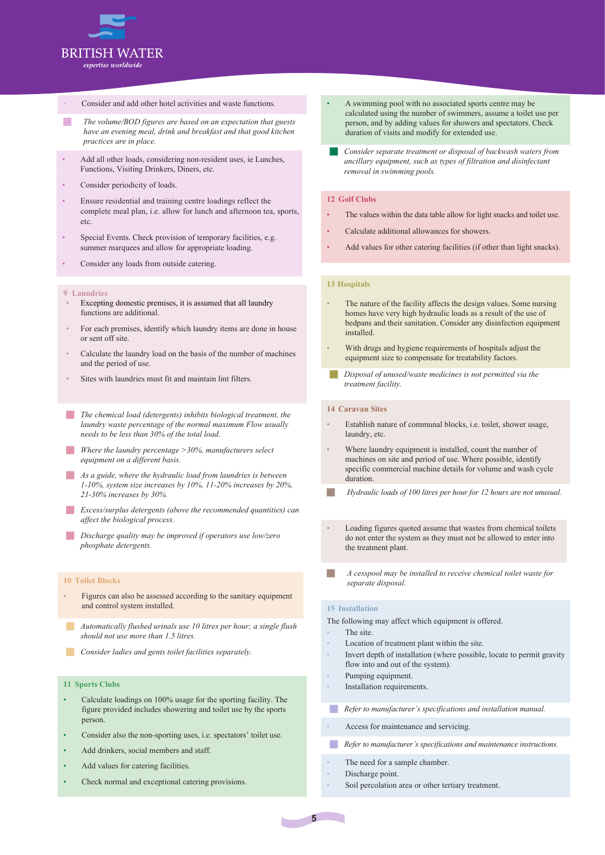

#### Consider and add other hotel activities and waste functions.

- **The volume/BOD figures are based on an expectation that guests** *have an evening meal, drink and breakfast and that good kitchen practices are in place.*
- Add all other loads, considering non-resident uses, ie Lunches, Functions, Visiting Drinkers, Diners, etc.
- Consider periodicity of loads.
- Ensure residential and training centre loadings reflect the complete meal plan, i.e. allow for lunch and afternoon tea, sports, etc.
- Special Events. Check provision of temporary facilities, e.g. summer marquees and allow for appropriate loading.
- Consider any loads from outside catering.
- **9 Laundries**
- Excepting domestic premises, it is assumed that all laundry functions are additional.
- For each premises, identify which laundry items are done in house or sent off site.
- Calculate the laundry load on the basis of the number of machines and the period of use.
- Sites with laundries must fit and maintain lint filters.
- **The chemical load (detergents) inhibits biological treatment, the** *laundry waste percentage of the normal maximum Flow usually needs to be less than 30% of the total load.*
- **Where the laundry percentage >30%, manufacturers select** *equipment on a different basis.*
- **As a guide, where the hydraulic load from laundries is between** *1-10%, system size increases by 10%, 11-20% increases by 20%, 21-30% increases by 30%.*
- *Excess/surplus detergents (above the recommended quantities) can affect the biological process.*
- *Discharge quality may be improved if operators use low/zero phosphate detergents.*

#### **10 Toilet Blocks**

- Figures can also be assessed according to the sanitary equipment and control system installed.
- Automatically flushed urinals use 10 litres per hour; a single flush *should not use more than 1.5 litres.*
- **Consider ladies and gents toilet facilities separately.**

#### **11 Sports Clubs**

- Calculate loadings on 100% usage for the sporting facility. The figure provided includes showering and toilet use by the sports person.
- Consider also the non-sporting uses, i.e. spectators' toilet use.
- Add drinkers, social members and staff.
- Add values for catering facilities.
- Check normal and exceptional catering provisions.
- A swimming pool with no associated sports centre may be calculated using the number of swimmers, assume a toilet use per person, and by adding values for showers and spectators. Check duration of visits and modify for extended use.
- Consider separate treatment or disposal of backwash waters from *ancillary equipment, such as types of filtration and disinfectant removal in swimming pools.*

#### **12 Golf Clubs**

- The values within the data table allow for light snacks and toilet use.
- Calculate additional allowances for showers.
- Add values for other catering facilities (if other than light snacks).

#### **13 Hospitals**

- The nature of the facility affects the design values. Some nursing homes have very high hydraulic loads as a result of the use of bedpans and their sanitation. Consider any disinfection equipment installed.
- With drugs and hygiene requirements of hospitals adjust the equipment size to compensate for treatability factors.
- Disposal of unused/waste medicines is not permitted via the *treatment facility.*

#### **14 Caravan Sites**

- Establish nature of communal blocks, i.e. toilet, shower usage, laundry, etc.
- Where laundry equipment is installed, count the number of machines on site and period of use. Where possible, identify specific commercial machine details for volume and wash cycle duration.
- Hydraulic loads of 100 litres per hour for 12 hours are not unusual.
- Loading figures quoted assume that wastes from chemical toilets do not enter the system as they must not be allowed to enter into the treatment plant.
- J *A cesspool may be installed to receive chemical toilet waste for separate disposal.*

#### **15 Installation**

The site.

- The following may affect which equipment is offered.
- Location of treatment plant within the site.
- Invert depth of installation (where possible, locate to permit gravity flow into and out of the system).
- Pumping equipment.
- Installation requirements.

*Refer to manufacturer's specifications and installation manual.* 

- Access for maintenance and servicing.
- *Refer to manufacturer's specifications and maintenance instructions.*
- The need for a sample chamber.
- Discharge point.
- Soil percolation area or other tertiary treatment.